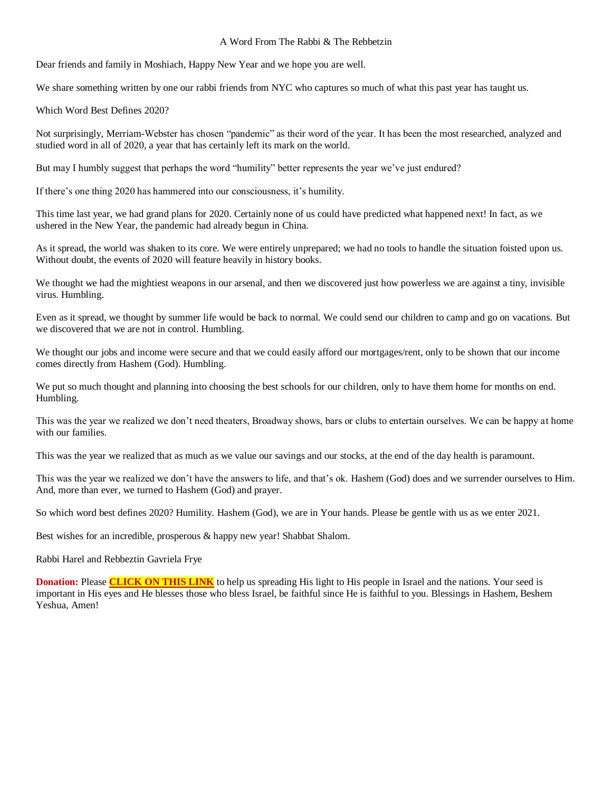## A Word From The Rabbi & The Rebbetzin

Dear friends and family in Moshiach, Happy New Year and we hope you are well.

We share something written by one our rabbi friends from NYC who captures so much of what this past year has taught us.

Which Word Best Defines 2020?

Not surprisingly, Merriam-Webster has chosen "pandemic" as their word of the year. It has been the most researched, analyzed and studied word in all of 2020, a year that has certainly left its mark on the world.

But may I humbly suggest that perhaps the word "humility" better represents the year we've just endured?

If there's one thing 2020 has hammered into our consciousness, it's humility.

This time last year, we had grand plans for 2020. Certainly none of us could have predicted what happened next! In fact, as we ushered in the New Year, the pandemic had already begun in China.

As it spread, the world was shaken to its core. We were entirely unprepared; we had no tools to handle the situation foisted upon us. Without doubt, the events of 2020 will feature heavily in history books.

We thought we had the mightiest weapons in our arsenal, and then we discovered just how powerless we are against a tiny, invisible virus. Humbling.

Even as it spread, we thought by summer life would be back to normal. We could send our children to camp and go on vacations. But we discovered that we are not in control. Humbling.

We thought our jobs and income were secure and that we could easily afford our mortgages/rent, only to be shown that our income comes directly from Hashem (God). Humbling.

We put so much thought and planning into choosing the best schools for our children, only to have them home for months on end. Humbling.

This was the year we realized we don't need theaters, Broadway shows, bars or clubs to entertain ourselves. We can be happy at home with our families.

This was the year we realized that as much as we value our savings and our stocks, at the end of the day health is paramount.

This was the year we realized we don't have the answers to life, and that's ok. Hashem (God) does and we surrender ourselves to Him. And, more than ever, we turned to Hashem (God) and prayer.

So which word best defines 2020? Humility. Hashem (God), we are in Your hands. Please be gentle with us as we enter 2021.

Best wishes for an incredible, prosperous & happy new year! Shabbat Shalom.

Rabbi Harel and Rebbeztin Gavriela Frye

**Donation:** Please **[CLICK ON THIS LINK](https://villageofhopejusticeministry.org/donation-donazione/)** to help us spreading His light to His people in Israel and the nations. Your seed is important in His eyes and He blesses those who bless Israel, be faithful since He is faithful to you. Blessings in Hashem, Beshem Yeshua, Amen!